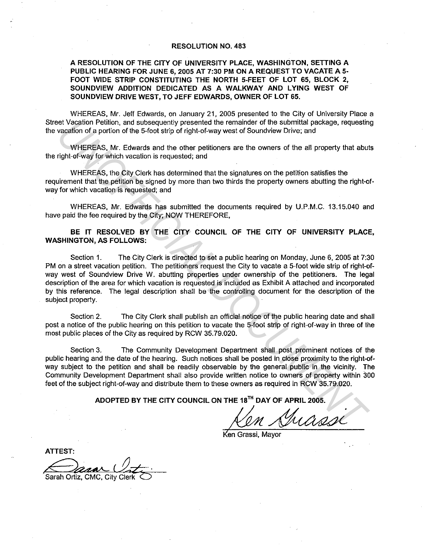## RESOLUTION NO. 483

## A RESOLUTION OF THE CITY OF UNIVERSITY PLACE, WASHINGTON, SETTING A PUBLIC HEARING FOR JUNE 6, 2005 AT 7:30 PM ON A REQUEST TO VACATE A 5· FOOT WIDE STRIP CONSTITUTING THE NORTH 5-FEET OF LOT 65, BLOCK 2, SOUNDVIEW ADDITION DEDICATED AS A WALKWAY AND LYING WEST OF SOUNDVIEW DRIVE WEST, TO JEFF EDWARDS, OWNER OF LOT 65.

WHEREAS, Mr. Jeff Edwards, on January 21, 2005 presented to the City of University Place a Street Vacation Petition, and subsequently presented the remainder of the submittal package, requesting the vacation of a portion of the 5-foot strip of right-of-way west of Soundview Drive; and

WHEREAS, Mr. Edwards and the other petitioners are the owners of the all property that abuts the right-of-way for which vacation is requested; and

WHEREAS, the City Clerk has determined that the signatures on the petition satisfies the requirement that the petition be signed by more than two thirds the property owners abutting the right-ofway for which vacation is requested; and

WHEREAS, Mr. Edwards has submitted the documents required by U.P.M.C. 13.15.040 and have paid the fee required by the City; NOW THEREFORE,

BE IT RESOLVED BY THE CITY COUNCIL OF THE CITY OF UNIVERSITY PLACE, WASHINGTON, AS FOLLOWS:

Section 1. The City Clerk is directed to set a public hearing on Monday, June 6, 2005 at 7:30 PM on a street vacation petition. The petitioners request the City to vacate a 5-foot wide strip of right-ofway west of Soundview Drive W. abutting properties under ownership of the petitioners. The legal description of the area for which vacation is requested is included as Exhibit A attached and incorporated by this reference. The legal description shall be the controlling document for the description of the subject property. ist Vacalities The Union, and subsequentity presented the remiarinal of the submittial package, requestin<br>vacation of a poirtion of the 5-foot strip of right-of-way west of Soundwiew Drive; and<br>WHEREAS, Mr. Edwards and the

Section 2. The City Clerk shall publish an official notice of the public hearing date and shall post a notice of the public hearing on this petition to vacate the 5-foot strip of right-of-way in three of the most public places of the City as required by RCW 35.79.020.

Section 3. The Community Development Department shall post prominent notices of the public hearing and the date of the hearing. Such notices shall be posted in close proximity to the right-ofway subject to the petition and shall be readily observable by the general public in the vicinity. The Community Development Department shall also provide written notice to owners of property within 300 feet of the subject right-of-way and distribute them to these owners as required in RCW 35.79.020.

ADOPTED BY THE CITY COUNCIL ON THE 18<sup>TH</sup> DAY OF APRIL 2005.<br>  $\frac{M}{\text{Ken Grassi, Mayor}}$ 

Ken Grassi, Mavor

ATTEST:

Sarah Ortiz, CMC, City Cle